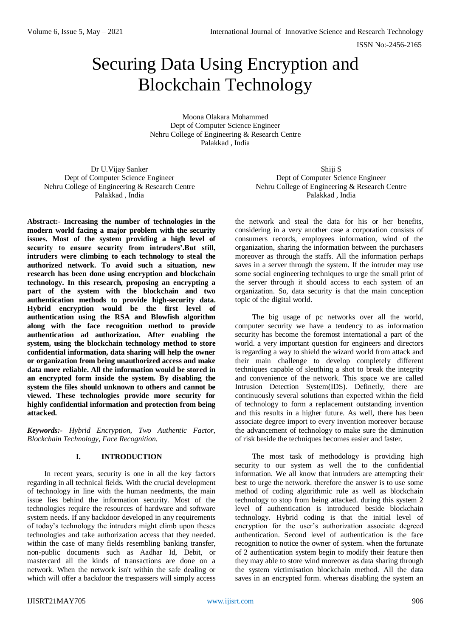# Securing Data Using Encryption and Blockchain Technology

Moona Olakara Mohammed Dept of Computer Science Engineer Nehru College of Engineering & Research Centre Palakkad , India

Dr U.Vijay Sanker Dept of Computer Science Engineer Nehru College of Engineering & Research Centre Palakkad , India

**Abstract:- Increasing the number of technologies in the modern world facing a major problem with the security issues. Most of the system providing a high level of security to ensure security from intruders'.But still, intruders were climbing to each technology to steal the authorized network. To avoid such a situation, new research has been done using encryption and blockchain technology. In this research, proposing an encrypting a part of the system with the blockchain and two authentication methods to provide high-security data. Hybrid encryption would be the first level of authentication using the RSA and Blowfish algorithm along with the face recognition method to provide authentication ad authorization. After enabling the system, using the blockchain technology method to store confidential information, data sharing will help the owner or organization from being unauthorized access and make data more reliable. All the information would be stored in an encrypted form inside the system. By disabling the system the files should unknown to others and cannot be viewed. These technologies provide more security for highly confidential information and protection from being attacked.**

*Keywords:- Hybrid Encryption, Two Authentic Factor, Blockchain Technology, Face Recognition.*

# **I. INTRODUCTION**

In recent years, security is one in all the key factors regarding in all technical fields. With the crucial development of technology in line with the human needments, the main issue lies behind the information security. Most of the technologies require the resources of hardware and software system needs. If any backdoor developed in any requirements of today's technology the intruders might climb upon theses technologies and take authorization access that they needed. within the case of many fields resembling banking transfer, non-public documents such as Aadhar Id, Debit, or mastercard all the kinds of transactions are done on a network. When the network isn't within the safe dealing or which will offer a backdoor the trespassers will simply access

Shiji S Dept of Computer Science Engineer Nehru College of Engineering & Research Centre Palakkad , India

the network and steal the data for his or her benefits, considering in a very another case a corporation consists of consumers records, employees information, wind of the organization, sharing the information between the purchasers moreover as through the staffs. All the information perhaps saves in a server through the system. If the intruder may use some social engineering techniques to urge the small print of the server through it should access to each system of an organization. So, data security is that the main conception topic of the digital world.

The big usage of pc networks over all the world, computer security we have a tendency to as information security has become the foremost international a part of the world. a very important question for engineers and directors is regarding a way to shield the wizard world from attack and their main challenge to develop completely different techniques capable of sleuthing a shot to break the integrity and convenience of the network. This space we are called Intrusion Detection System(IDS). Definetly, there are continuously several solutions than expected within the field of technology to form a replacement outstanding invention and this results in a higher future. As well, there has been associate degree import to every invention moreover because the advancement of technology to make sure the diminution of risk beside the techniques becomes easier and faster.

The most task of methodology is providing high security to our system as well the to the confidential information. We all know that intruders are attempting their best to urge the network. therefore the answer is to use some method of coding algorithmic rule as well as blockchain technology to stop from being attacked. during this system 2 level of authentication is introduced beside blockchain technology. Hybrid coding is that the initial level of encryption for the user's authorization associate degreed authentication. Second level of authentication is the face recognition to notice the owner of system. when the fortunate of 2 authentication system begin to modify their feature then they may able to store wind moreover as data sharing through the system victimisation blockchain method. All the data saves in an encrypted form. whereas disabling the system an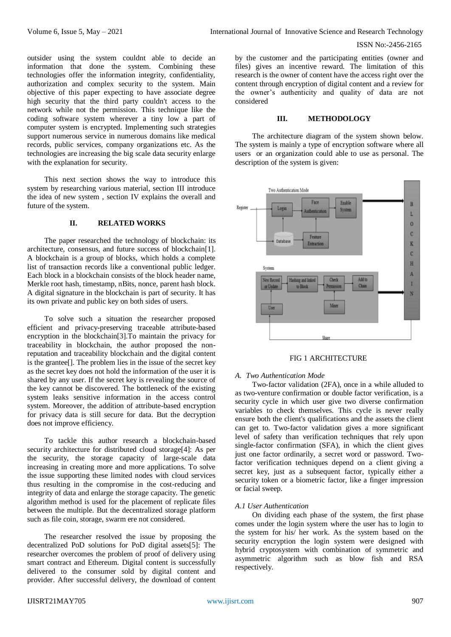outsider using the system couldnt able to decide an information that done the system. Combining these technologies offer the information integrity, confidentiality, authorization and complex security to the system. Main objective of this paper expecting to have associate degree high security that the third party couldn't access to the network while not the permission. This technique like the coding software system wherever a tiny low a part of computer system is encrypted. Implementing such strategies support numerous service in numerous domains like medical records, public services, company organizations etc. As the technologies are increasing the big scale data security enlarge with the explanation for security.

This next section shows the way to introduce this system by researching various material, section III introduce the idea of new system , section IV explains the overall and future of the system.

## **II. RELATED WORKS**

The paper researched the technology of blockchain: its architecture, consensus, and future success of blockchain[1]. A blockchain is a group of blocks, which holds a complete list of transaction records like a conventional public ledger. Each block in a blockchain consists of the block header name, Merkle root hash, timestamp, nBits, nonce, parent hash block. A digital signature in the blockchain is part of security. It has its own private and public key on both sides of users.

To solve such a situation the researcher proposed efficient and privacy-preserving traceable attribute-based encryption in the blockchain[3].To maintain the privacy for traceability in blockchain, the author proposed the nonreputation and traceability blockchain and the digital content is the grantee[]. The problem lies in the issue of the secret key as the secret key does not hold the information of the user it is shared by any user. If the secret key is revealing the source of the key cannot be discovered. The bottleneck of the existing system leaks sensitive information in the access control system. Moreover, the addition of attribute-based encryption for privacy data is still secure for data. But the decryption does not improve efficiency.

To tackle this author research a blockchain-based security architecture for distributed cloud storage[4]: As per the security, the storage capacity of large-scale data increasing in creating more and more applications. To solve the issue supporting these limited nodes with cloud services thus resulting in the compromise in the cost-reducing and integrity of data and enlarge the storage capacity. The genetic algorithm method is used for the placement of replicate files between the multiple. But the decentralized storage platform such as file coin, storage, swarm ere not considered.

The researcher resolved the issue by proposing the decentralized PoD solutions for PoD digital assets[5]: The researcher overcomes the problem of proof of delivery using smart contract and Ethereum. Digital content is successfully delivered to the consumer sold by digital content and provider. After successful delivery, the download of content

by the customer and the participating entities (owner and files) gives an incentive reward. The limitation of this research is the owner of content have the access right over the content through encryption of digital content and a review for the owner's authenticity and quality of data are not considered

# **III. METHODOLOGY**

The architecture diagram of the system shown below. The system is mainly a type of encryption software where all users or an organization could able to use as personal. The description of the system is given:



FIG 1 ARCHITECTURE

# *A. Two Authentication Mode*

Two-factor validation (2FA), once in a while alluded to as two-venture confirmation or double factor verification, is a security cycle in which user give two diverse confirmation variables to check themselves. This cycle is never really ensure both the client's qualifications and the assets the client can get to. Two-factor validation gives a more significant level of safety than verification techniques that rely upon single-factor confirmation (SFA), in which the client gives just one factor ordinarily, a secret word or password. Twofactor verification techniques depend on a client giving a secret key, just as a subsequent factor, typically either a security token or a biometric factor, like a finger impression or facial sweep.

# *A.1 User Authentication*

On dividing each phase of the system, the first phase comes under the login system where the user has to login to the system for his/ her work. As the system based on the security encryption the login system were designed with hybrid cryptosystem with combination of symmetric and asymmetric algorithm such as blow fish and RSA respectively.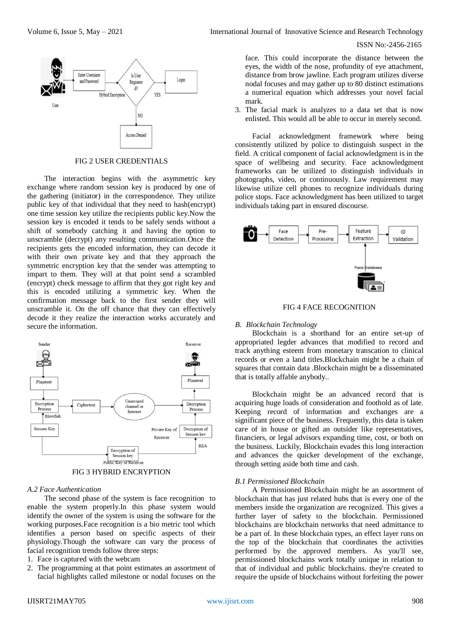

#### FIG 2 USER CREDENTIALS

The interaction begins with the asymmetric key exchange where random session key is produced by one of the gathering (initiator) in the correspondence. They utilize public key of that individual that they need to hash(encrypt) one time session key utilize the recipients public key.Now the session key is encoded it tends to be safely sends without a shift of somebody catching it and having the option to unscramble (decrypt) any resulting communication.Once the recipients gets the encoded information, they can decode it with their own private key and that they approach the symmetric encryption key that the sender was attempting to impart to them. They will at that point send a scrambled (encrypt) check message to affirm that they got right key and this is encoded utilizing a symmetric key. When the confirmation message back to the first sender they will unscramble it. On the off chance that they can effectively decode it they realize the interaction works accurately and secure the information.





#### *A.2 Face Authentication*

The second phase of the system is face recognition to enable the system properly.In this phase system would identify the owner of the system is using the software for the working purposes.Face recognition is a bio metric tool which identifies a person based on specific aspects of their physiology.Though the software can vary the process of facial recognition trends follow three steps:

# 1. Face is captured with the webcam

2. The programming at that point estimates an assortment of facial highlights called milestone or nodal focuses on the

# ISSN No:-2456-2165

face. This could incorporate the distance between the eyes, the width of the nose, profundity of eye attachment, distance from brow jawline. Each program utilizes diverse nodal focuses and may gather up to 80 distinct estimations a numerical equation which addresses your novel facial mark.

3. The facial mark is analyzes to a data set that is now enlisted. This would all be able to occur in merely second.

Facial acknowledgment framework where being consistently utilized by police to distinguish suspect in the field. A critical component of facial acknowledgment is in the space of wellbeing and security. Face acknowledgment frameworks can be utilized to distinguish individuals in photographs, video, or continuously. Law requirement may likewise utilize cell phones to recognize individuals during police stops. Face acknowledgment has been utilized to target individuals taking part in ensured discourse.



#### FIG 4 FACE RECOGNITION

#### *B. Blockchain Technology*

Blockchain is a shorthand for an entire set-up of appropriated legder advances that modified to record and track anything esteem from monetary transcation to clinical records or even a land titles.Blockchain might be a chain of squares that contain data .Blockchain might be a disseminated that is totally affable anybody..

Blockchain might be an advanced record that is acquiring huge loads of consideration and foothold as of late. Keeping record of information and exchanges are a significant piece of the business. Frequently, this data is taken care of in house or gifted an outsider like representatives, financiers, or legal advisors expanding time, cost, or both on the business. Luckily, Blockchain evades this long interaction and advances the quicker development of the exchange, through setting aside both time and cash.

#### *B.1 Permissioned Blockchain*

A Permissioned Blockchain might be an assortment of blockchain that has just related hubs that is every one of the members inside the organization are recognized. This gives a further layer of safety to the blockchain. Permissioned blockchains are blockchain networks that need admittance to be a part of. In these blockchain types, an effect layer runs on the top of the blockchain that coordinates the activities performed by the approved members. As you'll see, permissioned blockchains work totally unique in relation to that of individual and public blockchains. they're created to require the upside of blockchains without forfeiting the power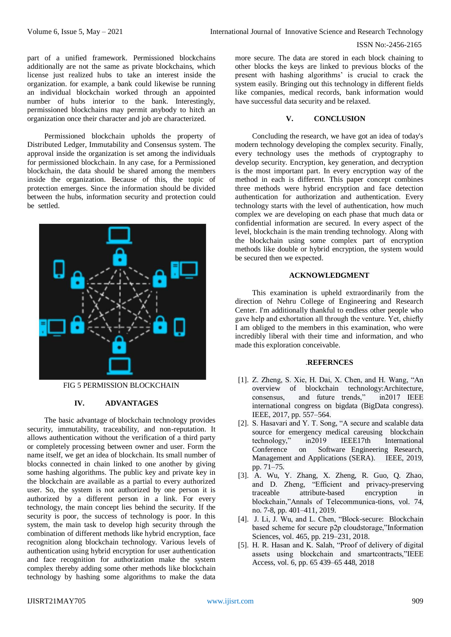part of a unified framework. Permissioned blockchains additionally are not the same as private blockchains, which license just realized hubs to take an interest inside the organization. for example, a bank could likewise be running an individual blockchain worked through an appointed number of hubs interior to the bank. Interestingly, permissioned blockchains may permit anybody to hitch an organization once their character and job are characterized.

Permissioned blockchain upholds the property of Distributed Ledger, Immutability and Consensus system. The approval inside the organization is set among the individuals for permissioned blockchain. In any case, for a Permissioned blockchain, the data should be shared among the members inside the organization. Because of this, the topic of protection emerges. Since the information should be divided between the hubs, information security and protection could be settled.



FIG 5 PERMISSION BLOCKCHAIN

## **IV. ADVANTAGES**

The basic advantage of blockchain technology provides security, immutability, traceability, and non-reputation. It allows authentication without the verification of a third party or completely processing between owner and user. Form the name itself, we get an idea of blockchain. Its small number of blocks connected in chain linked to one another by giving some hashing algorithms. The public key and private key in the blockchain are available as a partial to every authorized user. So, the system is not authorized by one person it is authorized by a different person in a link. For every technology, the main concept lies behind the security. If the security is poor, the success of technology is poor. In this system, the main task to develop high security through the combination of different methods like hybrid encryption, face recognition along blockchain technology. Various levels of authentication using hybrid encryption for user authentication and face recognition for authorization make the system complex thereby adding some other methods like blockchain technology by hashing some algorithms to make the data

more secure. The data are stored in each block chaining to other blocks the keys are linked to previous blocks of the present with hashing algorithms' is crucial to crack the system easily. Bringing out this technology in different fields like companies, medical records, bank information would have successful data security and be relaxed.

## **V. CONCLUSION**

Concluding the research, we have got an idea of today's modern technology developing the complex security. Finally, every technology uses the methods of cryptography to develop security. Encryption, key generation, and decryption is the most important part. In every encryption way of the method in each is different. This paper concept combines three methods were hybrid encryption and face detection authentication for authorization and authentication. Every technology starts with the level of authentication, how much complex we are developing on each phase that much data or confidential information are secured. In every aspect of the level, blockchain is the main trending technology. Along with the blockchain using some complex part of encryption methods like double or hybrid encryption, the system would be secured then we expected.

## **ACKNOWLEDGMENT**

This examination is upheld extraordinarily from the direction of Nehru College of Engineering and Research Center. I'm additionally thankful to endless other people who gave help and exhortation all through the venture. Yet, chiefly I am obliged to the members in this examination, who were incredibly liberal with their time and information, and who made this exploration conceivable.

#### .**REFERNCES**

- [1]. Z. Zheng, S. Xie, H. Dai, X. Chen, and H. Wang, "An overview of blockchain technology:Architecture, consensus, and future trends," in2017 IEEE international congress on bigdata (BigData congress). IEEE, 2017, pp. 557–564.
- [2]. S. Hasavari and Y. T. Song, "A secure and scalable data source for emergency medical careusing blockchain technology," in2019 IEEE17th International Conference on Software Engineering Research, Management and Applications (SERA). IEEE, 2019, pp. 71–75.
- [3]. A. Wu, Y. Zhang, X. Zheng, R. Guo, Q. Zhao, and D. Zheng, "Efficient and privacy-preserving traceable attribute-based encryption in blockchain,"Annals of Telecommunica-tions, vol. 74, no. 7-8, pp. 401–411, 2019.
- [4]. J. Li, J. Wu, and L. Chen, "Block-secure: Blockchain based scheme for secure p2p cloudstorage,"Information Sciences, vol. 465, pp. 219–231, 2018.
- [5]. H. R. Hasan and K. Salah, "Proof of delivery of digital assets using blockchain and smartcontracts,"IEEE Access, vol. 6, pp. 65 439–65 448, 2018